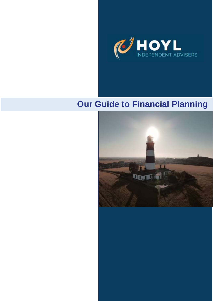

# **Our Guide to Financial Planning**

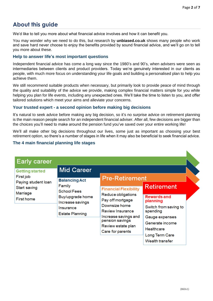# **About this guide**

We'd like to tell you more about what financial advice involves and how it can benefit you.

You may wonder why we need to do this, but research by **unbiased.co.uk** shows many people who work and save hard never choose to enjoy the benefits provided by sound financial advice, and we'll go on to tell you more about these.

#### **Help to answer life's most important questions**

Independent financial advice has come a long way since the 1980's and 90's, when advisers were seen as intermediaries between clients and product providers. Today we're genuinely interested in our clients as people, with much more focus on understanding your life goals and building a personalised plan to help you achieve them.

We still recommend suitable products when necessary, but primarily look to provide peace of mind through the quality and suitability of the advice we provide, making complex financial matters simple for you while helping you plan for life events, including any unexpected ones. We'll take the time to listen to you, and offer tailored solutions which meet your aims and alleviate your concerns.

#### **Your trusted expert - a second opinion before making big decisions**

It's natural to seek advice before making any big decision, so it's no surprise advice on retirement planning is the main reason people search for an independent financial adviser. After all, few decisions are bigger than the choices you'll need to make around the pension fund you've saved over your entire working life!

We'll all make other big decisions throughout our lives, some just as important as choosing your best retirement option, so there's a number of stages in life when it may also be beneficial to seek financial advice.

#### **The 4 main financial planning life stages**

| <b>Early career</b>                                                                                         |                                                                                                                                                          |                                                                                                                                                                                                         |                                                                                                                                                    |  |
|-------------------------------------------------------------------------------------------------------------|----------------------------------------------------------------------------------------------------------------------------------------------------------|---------------------------------------------------------------------------------------------------------------------------------------------------------------------------------------------------------|----------------------------------------------------------------------------------------------------------------------------------------------------|--|
| <b>Getting started</b><br>First job<br>Paying student loan<br>Start saving<br>Marriage<br><b>First home</b> | <b>Mid Career</b><br><b>Balancing Act</b><br>Family<br><b>School Fees</b><br>Buy/upgrade home<br>Increase savings<br>Insurance<br><b>Estate Planning</b> | <b>Pre-Retirement</b>                                                                                                                                                                                   |                                                                                                                                                    |  |
|                                                                                                             |                                                                                                                                                          | <b>Financial Flexibility</b><br>Reduce obligations<br>Pay off mortgage<br>Downsize home<br><b>Review Insurance</b><br>Increase savings and<br>pension savings<br>Review estate plan<br>Care for parents | <b>Retirement</b><br><b>Rewards and</b><br>planning<br>Switch from saving to<br>spending<br>Gauge expenses<br>Generate income<br><b>Healthcare</b> |  |
|                                                                                                             |                                                                                                                                                          |                                                                                                                                                                                                         | Long Term Care<br>Wealth transfer                                                                                                                  |  |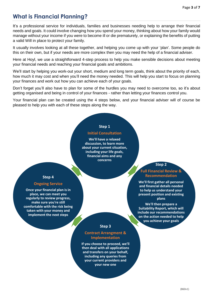# **What is Financial Planning?**

It's a professional service for individuals, families and businesses needing help to arrange their financial needs and goals. It could involve changing how you spend your money, thinking about how your family would manage without your income if you were to become ill or die prematurely, or explaining the benefits of putting a valid Will in place to protect your family.

It usually involves looking at all these together, and helping you come up with your 'plan'. Some people do this on their own, but if your needs are more complex then you may need the help of a financial adviser.

Here at Hoyl, we use a straightforward 4-step process to help you make sensible decisions about meeting your financial needs and reaching your financial goals and ambitions.

We'll start by helping you work-out your short, medium and long term goals, think about the priority of each, how much it may cost and when you'll need the money needed. This will help you start to focus on planning your finances and work out how you can achieve each of your goals.

Don't forget you'll also have to plan for some of the hurdles you may need to overcome too, so it's about getting organised and being in control of your finances - rather than letting your finances control you.

Your financial plan can be created using the 4 steps below, and your financial adviser will of course be pleased to help you with each of these steps along the way.

#### **Step 1**

#### **Initial Consultation**

**We'll have a relaxed discussion, to learn more about your current situation, including your life goals, financial aims and any concerns**

#### **Step 4**

#### **Ongoing Service**

**Once your financial plan is in place, we can meet you regularly to review progress, make sure you're still comfortable with the risk being taken with your money and implement the next steps**

#### **Step 2**

#### **Full Financial Review & Recommendation**

**We'll first gather all personal and financial details needed to help us understand your present position and existing plans**

**We'll then prepare a Suitability Report, which will include our recommendations on the action needed to help you achieve your goals**

#### **Step 3**

#### **Contract Arrangment & Implementation**

**If you choose to proceed, we'll then deal with all applications and transfers on your behalf, including any queries from your current providers and your new one**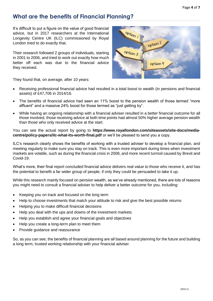### **What are the benefits of Financial Planning?**

It's difficult to put a figure on the value of good financial advice, but in 2017 researchers at the International Longevity Centre UK (ILC) commissioned by Royal London tried to do exactly that.

Their research followed 2 groups of individuals, starting in 2001 to 2006, and tried to work out exactly how much better off each was due to the financial advice they received.

They found that, on average, after 10 years:

- Receiving professional financial advice had resulted in a total boost to wealth (in pensions and financial assets) of £47,706 in 2014/16.
- The benefits of financial advice had seen an 11% boost to the pension wealth of those termed "more affluent" and a massive 24% boost for those termed as "just getting by".
- While having an ongoing relationship with a financial adviser resulted in a better financial outcome for all those involved, those receiving advice at both time points had almost 50% higher average pension wealth than those who only received advice at the start.

You can see the actual report by going to **https://www.royallondon.com/siteassets/site-docs/mediacentre/policy-papers/ilc-what-its-worth-final.pdf** or we'll be pleased to send you a copy.

ILC's research clearly shows the benefits of working with a trusted adviser to develop a financial plan, and meeting regularly to make sure you stay on track. This is even more important during times when investment markets are volatile, such as during the financial crisis in 2008, and more recent turmoil caused by Brexit and Covid-19.

What's more, their final report concluded financial advice delivers real value to those who receive it, and has the potential to benefit a far wider group of people, if only they could be persuaded to take it up.

While this research mainly focused on pension wealth, as we've already mentioned, there are lots of reasons you might need to consult a financial adviser to help deliver a better outcome for you, including:

- Keeping you on track and focused on the long term
- Help to choose investments that match your attitude to risk and give the best possible returns
- Helping you to make difficult financial decisions
- Help you deal with the ups and downs of the investment markets
- Help you establish and agree your financial goals and objectives
- Help you create a long-term plan to meet them
- Provide guidance and reassurance

So, as you can see, the benefits of financial planning are all based around planning for the future and building a long term, trusted working relationship with your financial adviser.

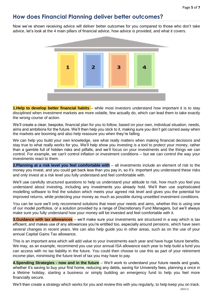### **How does Financial Planning deliver better outcomes?**

Now we've shown receiving advice will deliver better outcomes for you compared to those who don't take advice, let's look at the 4 main pillars of financial advice, how advice is provided, and what it covers.



**1.Help to develop better financial habits** – while most investors understand how important it is to stay disciplined when investment markets are more volatile, few actually do, which can lead them to take exactly the wrong course of action.

We'll create a clear, bespoke, financial plan for you to follow, based on your own, individual situation, needs, aims and ambitions for the future. We'll then help you stick to it, making sure you don't get carried away when the markets are booming and also help reassure you when they're falling.

We can help you build your own knowledge, see what really matters when making financial decisions and stay true to what really works for you. We'll help show you investing is a tool to protect your money, rather than a gamble full of hidden risks and pitfalls, and we'll focus on your investments and the things we can control. For example, we can't control inflation or investment conditions – but we can control the way your investments react to them.

**2.Planning at a risk level you feel comfortable with** – all investments include an element of risk to the money you invest, and you could get back less than you pay in, so it's important you understand these risks and only invest at a risk level you fully understand and feel comfortable with.

We'll use carefully structured questions to help us understand your attitude to risk, how much you feel you understand about investing, including any investments you already hold. We'll then use sophisticated modelling software to find the solution which meets your agreed risk level and gives you the potential for improved returns, while protecting your money as much as possible during unsettled investment conditions.

You can be sure we'll only recommend solutions that meet your needs and aims, whether this is using one of our model portfolios, or a solution provided by a range of Discretionary Fund Managers, but we'll always make sure you fully understand how your money will be invested and feel comfortable with it.

**3.Guidance with tax allowances** – we'll make sure your investments are structured in a way which is tax efficient, and makes use of any allowances you're entitled too, especially around pensions, which have seen several changes in recent years. We can also help guide you in other areas, such as on the use of your annual Capital Gains Tax allowance.

This is an important area which will add value to your investments each year and have huge future benefits. We may, as an example, recommend you use your annual ISA allowance each year to help build a fund you can access with no tax liability in the future. You could then choose to use this as part of your retirement income plan, minimising the future level of tax you may have to pay.

**4.Spending Strategies - now and in the future** – We'll work to understand your future needs and goals, whether it's saving to buy your first home, reducing any debts, saving for University fees, planning a once in a lifetime holiday, starting a business or simply building an emergency fund to help you feel more financially secure.

We'll then create a strategy which works for you and review this with you regularly, to help keep you on track.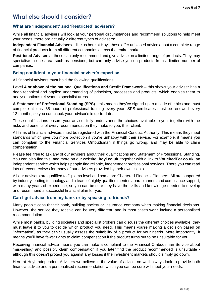### **What else should I consider?**

#### **What are 'Independent' and 'Restricted' advisers?**

While all financial advisers will look at your personal circumstances and recommend solutions to help meet your needs, there are actually 2 different types of advisers:

**Independent Financial Advisers** – like us here at Hoyl, these offer unbiased advice about a complete range of financial products from all different companies across the entire market

**Restricted Advisers** – these can only recommend and give advice on a limited range of products. They may specialise in one area, such as pensions, but can only advise you on products from a limited number of companies.

#### **Being confident in your financial adviser's expertise**

All financial advisers must hold the following qualifications:

**Level 4 or above of the national Qualifications and Credit Framework** – this shows your adviser has a deep technical and applied understanding of principles, processes and products, which enables them to analyse options relevant to specialist areas.

**A Statement of Professional Standing (SPS)** - this means they've signed-up to a code of ethics and must complete at least 35 hours of professional training every year. SPS certificates must be renewed every 12 months, so you can check your adviser's is up-to-date.

These qualifications ensure your adviser fully understands the choices available to you, together with the risks and benefits of every recommendation they make to you, their client.

All firms of financial advisers must be registered with the Financial Conduct Authority. This means they meet standards which give you more protection if you're unhappy with their service. For example, it means you can complain to the Financial Services Ombudsman if things go wrong, and may be able to claim compensation.

Please feel free to ask any of our advisers about their qualifications and Statement of Professional Standing. You can also find this, and more on our website, **hoyl.co.uk**, together with a link to **VouchedFor.co.uk**, an independent service which helps people find reliable, independent professional services. There you can read lots of recent reviews for many of our advisers provided by their own clients.

All our advisers are qualified to Diploma level and some are Chartered Financial Planners. All are supported by industry leading technology and a team of highly qualified mentors, paraplanners and compliance support, with many years of experience, so you can be sure they have the skills and knowledge needed to develop and recommend a successful financial plan for you.

#### **Can I get advice from my bank or by speaking to friends?**

Many people consult their bank, building society or insurance company when making financial decisions. However, the service they receive can be very different, and in most cases won't include a personalised recommendation.

While most banks, building societies and specialist brokers can discuss the different choices available, they must leave it to you to decide which product you need. This means you're making a decision based on 'information', as they can't usually assess the suitability of a product for your needs. More importantly, it means you'll have fewer rights to claim compensation if the product turns out to be unsuitable for you.

Receiving financial advice means you can make a complaint to the Financial Ombudsman Service about 'mis-selling' and possibly claim compensation if you later find the product recommended is unsuitable although this doesn't protect you against any losses if the investment markets should simply go down.

Here at Hoyl Independent Advisers we believe in the value of advice, so we'll always look to provide both financial advice and a personalised recommendation which you can be sure will meet your needs.